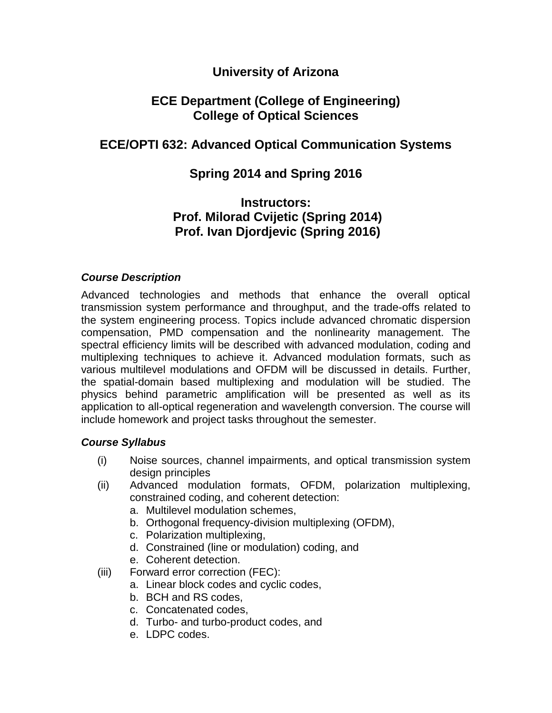### **University of Arizona**

### **ECE Department (College of Engineering) College of Optical Sciences**

# **ECE/OPTI 632: Advanced Optical Communication Systems**

# **Spring 2014 and Spring 2016**

## **Instructors: Prof. Milorad Cvijetic (Spring 2014) Prof. Ivan Djordjevic (Spring 2016)**

#### *Course Description*

Advanced technologies and methods that enhance the overall optical transmission system performance and throughput, and the trade-offs related to the system engineering process. Topics include advanced chromatic dispersion compensation, PMD compensation and the nonlinearity management. The spectral efficiency limits will be described with advanced modulation, coding and multiplexing techniques to achieve it. Advanced modulation formats, such as various multilevel modulations and OFDM will be discussed in details. Further, the spatial-domain based multiplexing and modulation will be studied. The physics behind parametric amplification will be presented as well as its application to all-optical regeneration and wavelength conversion. The course will include homework and project tasks throughout the semester.

#### *Course Syllabus*

- (i) Noise sources, channel impairments, and optical transmission system design principles
- (ii) Advanced modulation formats, OFDM, polarization multiplexing, constrained coding, and coherent detection:
	- a. Multilevel modulation schemes,
	- b. Orthogonal frequency-division multiplexing (OFDM),
	- c. Polarization multiplexing,
	- d. Constrained (line or modulation) coding, and
	- e. Coherent detection.
- (iii) Forward error correction (FEC):
	- a. Linear block codes and cyclic codes,
	- b. BCH and RS codes,
	- c. Concatenated codes,
	- d. Turbo- and turbo-product codes, and
	- e. LDPC codes.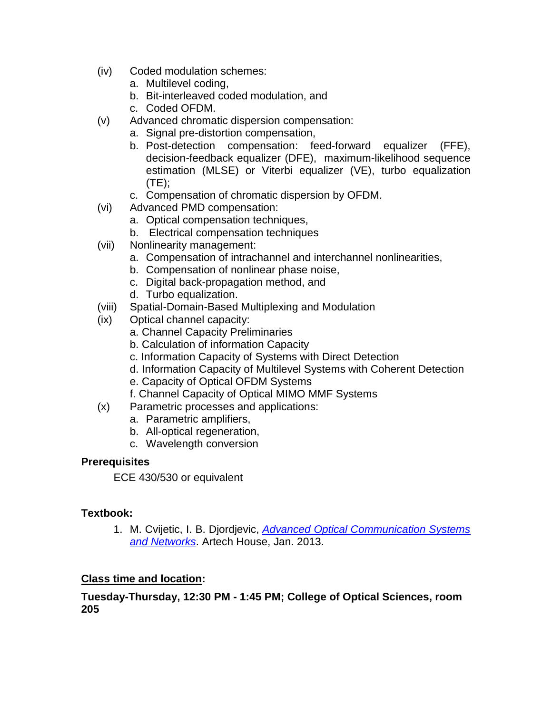- (iv) Coded modulation schemes:
	- a. Multilevel coding,
	- b. Bit-interleaved coded modulation, and
	- c. Coded OFDM.
- (v) Advanced chromatic dispersion compensation:
	- a. Signal pre-distortion compensation,
	- b. Post-detection compensation: feed-forward equalizer (FFE), decision-feedback equalizer (DFE), maximum-likelihood sequence estimation (MLSE) or Viterbi equalizer (VE), turbo equalization (TE);
	- c. Compensation of chromatic dispersion by OFDM.
- (vi) Advanced PMD compensation:
	- a. Optical compensation techniques,
	- b. Electrical compensation techniques
- (vii) Nonlinearity management:
	- a. Compensation of intrachannel and interchannel nonlinearities,
	- b. Compensation of nonlinear phase noise,
	- c. Digital back-propagation method, and
	- d. Turbo equalization.
- (viii) Spatial-Domain-Based Multiplexing and Modulation
- (ix) Optical channel capacity:
	- a. Channel Capacity Preliminaries
	- b. Calculation of information Capacity
	- c. Information Capacity of Systems with Direct Detection
	- d. Information Capacity of Multilevel Systems with Coherent Detection
	- e. Capacity of Optical OFDM Systems
	- f. Channel Capacity of Optical MIMO MMF Systems
- (x) Parametric processes and applications:
	- a. Parametric amplifiers,
	- b. All-optical regeneration,
	- c. Wavelength conversion

#### **Prerequisites**

ECE 430/530 or equivalent

#### **Textbook:**

1. M. Cvijetic, I. B. Djordjevic, *[Advanced Optical Communication Systems](http://www.artechhouse.com/Main/Books/Advanced-Optical-Communication-Systems-and-Network-2005.aspx)  [and Networks](http://www.artechhouse.com/Main/Books/Advanced-Optical-Communication-Systems-and-Network-2005.aspx)*. Artech House, Jan. 2013.

### **Class time and location:**

#### **Tuesday-Thursday, 12:30 PM - 1:45 PM; College of Optical Sciences, room 205**